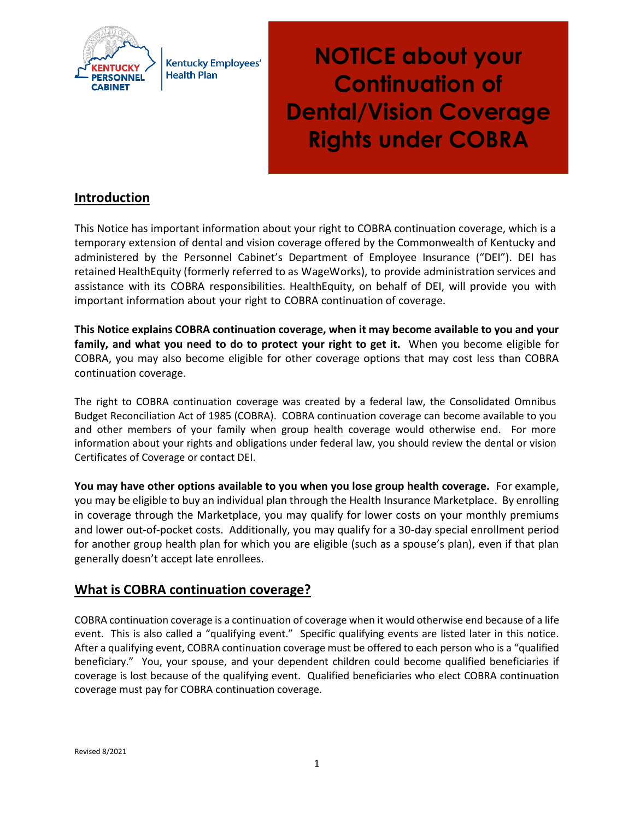

**Kentucky Employees' Health Plan** 

**NOTICE about your Continuation of Dental/Vision Coverage Rights under COBRA**

# **Introduction**

This Notice has important information about your right to COBRA continuation coverage, which is a temporary extension of dental and vision coverage offered by the Commonwealth of Kentucky and administered by the Personnel Cabinet's Department of Employee Insurance ("DEI"). DEI has retained HealthEquity (formerly referred to as WageWorks), to provide administration services and assistance with its COBRA responsibilities. HealthEquity, on behalf of DEI, will provide you with important information about your right to COBRA continuation of coverage.

**This Notice explains COBRA continuation coverage, when it may become available to you and your family, and what you need to do to protect your right to get it.** When you become eligible for COBRA, you may also become eligible for other coverage options that may cost less than COBRA continuation coverage.

The right to COBRA continuation coverage was created by a federal law, the Consolidated Omnibus Budget Reconciliation Act of 1985 (COBRA). COBRA continuation coverage can become available to you and other members of your family when group health coverage would otherwise end. For more information about your rights and obligations under federal law, you should review the dental or vision Certificates of Coverage or contact DEI.

**You may have other options available to you when you lose group health coverage.** For example, you may be eligible to buy an individual plan through the Health Insurance Marketplace. By enrolling in coverage through the Marketplace, you may qualify for lower costs on your monthly premiums and lower out-of-pocket costs. Additionally, you may qualify for a 30-day special enrollment period for another group health plan for which you are eligible (such as a spouse's plan), even if that plan generally doesn't accept late enrollees.

## **What is COBRA continuation coverage?**

COBRA continuation coverage is a continuation of coverage when it would otherwise end because of a life event. This is also called a "qualifying event." Specific qualifying events are listed later in this notice. After a qualifying event, COBRA continuation coverage must be offered to each person who is a "qualified beneficiary." You, your spouse, and your dependent children could become qualified beneficiaries if coverage is lost because of the qualifying event. Qualified beneficiaries who elect COBRA continuation coverage must pay for COBRA continuation coverage.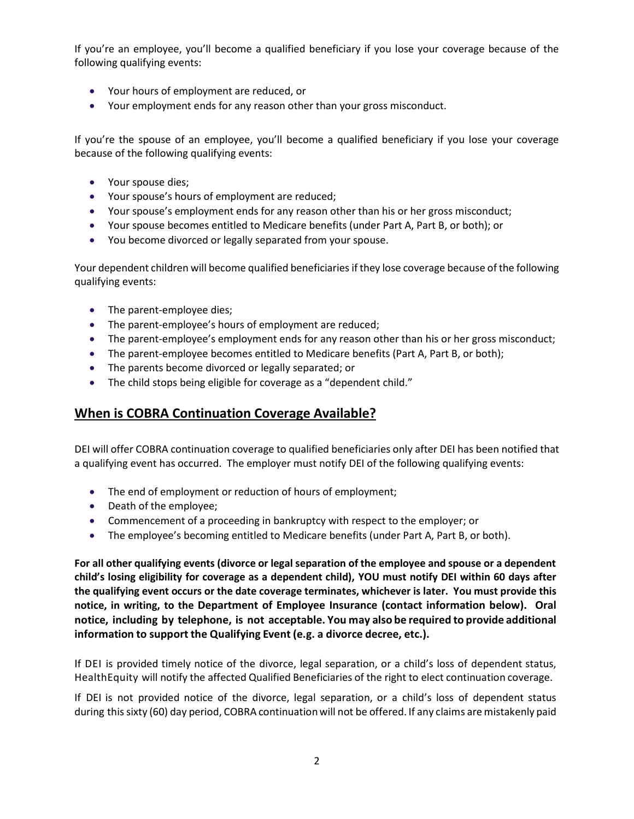If you're an employee, you'll become a qualified beneficiary if you lose your coverage because of the following qualifying events:

- Your hours of employment are reduced, or
- Your employment ends for any reason other than your gross misconduct.

If you're the spouse of an employee, you'll become a qualified beneficiary if you lose your coverage because of the following qualifying events:

- Your spouse dies;
- Your spouse's hours of employment are reduced;
- Your spouse's employment ends for any reason other than his or her gross misconduct;
- Your spouse becomes entitled to Medicare benefits (under Part A, Part B, or both); or
- You become divorced or legally separated from your spouse.

Your dependent children will become qualified beneficiaries if they lose coverage because of the following qualifying events:

- The parent-employee dies;
- The parent-employee's hours of employment are reduced;
- The parent-employee's employment ends for any reason other than his or her gross misconduct;
- The parent-employee becomes entitled to Medicare benefits (Part A, Part B, or both);
- The parents become divorced or legally separated; or
- The child stops being eligible for coverage as a "dependent child."

## **When is COBRA Continuation Coverage Available?**

DEI will offer COBRA continuation coverage to qualified beneficiaries only after DEI has been notified that a qualifying event has occurred. The employer must notify DEI of the following qualifying events:

- The end of employment or reduction of hours of employment;
- Death of the employee;
- Commencement of a proceeding in bankruptcy with respect to the employer; or
- The employee's becoming entitled to Medicare benefits (under Part A, Part B, or both).

**For all other qualifying events (divorce or legal separation of the employee and spouse or a dependent child's losing eligibility for coverage as a dependent child), YOU must notify DEI within 60 days after the qualifying event occurs or the date coverage terminates, whichever is later. You must provide this notice, in writing, to the Department of Employee Insurance (contact information below). Oral notice, including by telephone, is not acceptable. You may also be required to provide additional information to support the Qualifying Event (e.g. a divorce decree, etc.).** 

If DEI is provided timely notice of the divorce, legal separation, or a child's loss of dependent status, HealthEquity will notify the affected Qualified Beneficiaries of the right to elect continuation coverage.

If DEI is not provided notice of the divorce, legal separation, or a child's loss of dependent status during this sixty (60) day period, COBRA continuationwill not be offered. If any claims are mistakenly paid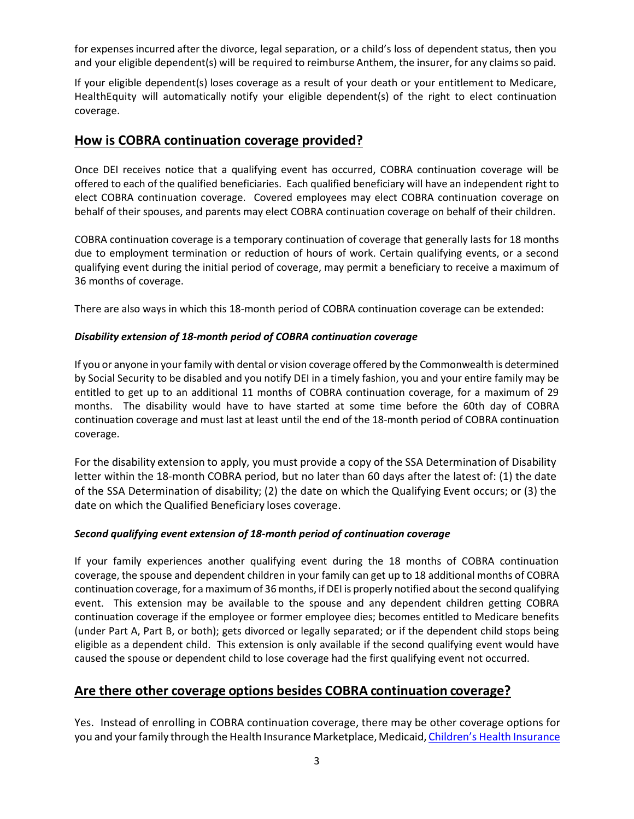for expenses incurred after the divorce, legal separation, or a child's loss of dependent status, then you and your eligible dependent(s) will be required to reimburse Anthem, the insurer, for any claimsso paid.

If your eligible dependent(s) loses coverage as a result of your death or your entitlement to Medicare, HealthEquity will automatically notify your eligible dependent(s) of the right to elect continuation coverage.

#### **How is COBRA continuation coverage provided?**

Once DEI receives notice that a qualifying event has occurred, COBRA continuation coverage will be offered to each of the qualified beneficiaries. Each qualified beneficiary will have an independent right to elect COBRA continuation coverage. Covered employees may elect COBRA continuation coverage on behalf of their spouses, and parents may elect COBRA continuation coverage on behalf of their children.

COBRA continuation coverage is a temporary continuation of coverage that generally lasts for 18 months due to employment termination or reduction of hours of work. Certain qualifying events, or a second qualifying event during the initial period of coverage, may permit a beneficiary to receive a maximum of 36 months of coverage.

There are also ways in which this 18-month period of COBRA continuation coverage can be extended:

#### *Disability extension of 18-month period of COBRA continuation coverage*

If you or anyone in your family with dental or vision coverage offered by the Commonwealth is determined by Social Security to be disabled and you notify DEI in a timely fashion, you and your entire family may be entitled to get up to an additional 11 months of COBRA continuation coverage, for a maximum of 29 months. The disability would have to have started at some time before the 60th day of COBRA continuation coverage and must last at least until the end of the 18-month period of COBRA continuation coverage.

For the disability extension to apply, you must provide a copy of the SSA Determination of Disability letter within the 18-month COBRA period, but no later than 60 days after the latest of: (1) the date of the SSA Determination of disability; (2) the date on which the Qualifying Event occurs; or (3) the date on which the Qualified Beneficiary loses coverage.

#### *Second qualifying event extension of 18-month period of continuation coverage*

If your family experiences another qualifying event during the 18 months of COBRA continuation coverage, the spouse and dependent children in your family can get up to 18 additional months of COBRA continuation coverage, for a maximum of 36 months, if DEI is properly notified about the second qualifying event. This extension may be available to the spouse and any dependent children getting COBRA continuation coverage if the employee or former employee dies; becomes entitled to Medicare benefits (under Part A, Part B, or both); gets divorced or legally separated; or if the dependent child stops being eligible as a dependent child. This extension is only available if the second qualifying event would have caused the spouse or dependent child to lose coverage had the first qualifying event not occurred.

#### **Are there other coverage options besides COBRA continuation coverage?**

Yes. Instead of enrolling in COBRA continuation coverage, there may be other coverage options for you and your family through the Health Insurance Marketplace, Medicaid, Children's Health Insurance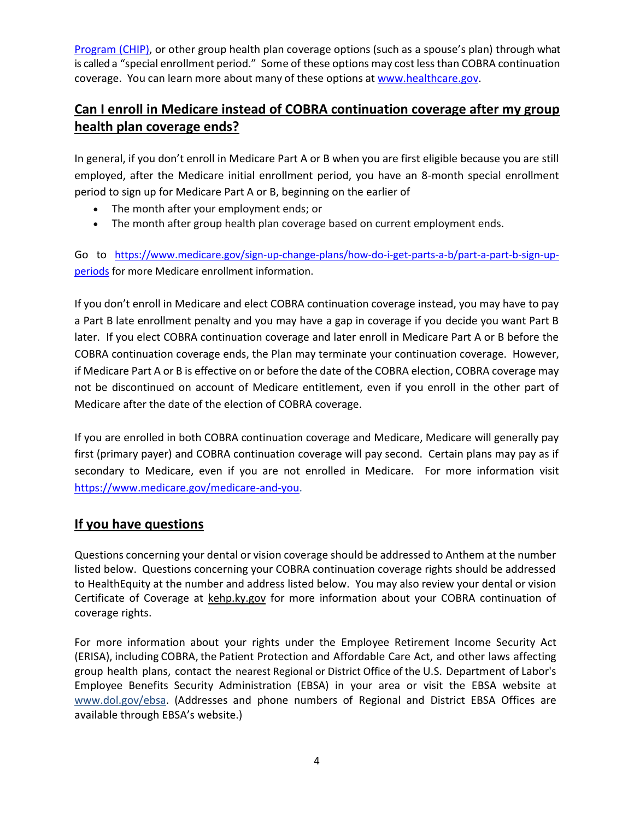[Program \(CHIP\),](https://www.healthcare.gov/are-my-children-eligible-for-chip) or other group health plan coverage options (such as a spouse's plan) through what is called a "special enrollment period." Some of these options may cost less than COBRA continuation coverage. You can learn more about many of these options at [www.healthcare.gov.](http://www.healthcare.gov/)

# **Can I enroll in Medicare instead of COBRA continuation coverage after my group health plan coverage ends?**

In general, if you don't enroll in Medicare Part A or B when you are first eligible because you are still employed, after the Medicare initial enrollment period, you have an 8-month special enrollment period to sign up for Medicare Part A or B, beginning on the earlier of

- The month after your employment ends; or
- The month after group health plan coverage based on current employment ends.

Go to [https://www.medicare.gov/sign-up-change-plans/how-do-i-get-parts-a-b/part-a-part-b-sign-up](https://www.medicare.gov/sign-up-change-plans/how-do-i-get-parts-a-b/part-a-part-b-sign-up-periods)[periods](https://www.medicare.gov/sign-up-change-plans/how-do-i-get-parts-a-b/part-a-part-b-sign-up-periods) for more Medicare enrollment information.

If you don't enroll in Medicare and elect COBRA continuation coverage instead, you may have to pay a Part B late enrollment penalty and you may have a gap in coverage if you decide you want Part B later. If you elect COBRA continuation coverage and later enroll in Medicare Part A or B before the COBRA continuation coverage ends, the Plan may terminate your continuation coverage. However, if Medicare Part A or B is effective on or before the date of the COBRA election, COBRA coverage may not be discontinued on account of Medicare entitlement, even if you enroll in the other part of Medicare after the date of the election of COBRA coverage.

If you are enrolled in both COBRA continuation coverage and Medicare, Medicare will generally pay first (primary payer) and COBRA continuation coverage will pay second. Certain plans may pay as if secondary to Medicare, even if you are not enrolled in Medicare. For more information visit [https://www.medicare.gov/medicare-and-you.](https://www.medicare.gov/medicare-and-you)

# **If you have questions**

Questions concerning your dental or vision coverage should be addressed to Anthem at the number listed below. Questions concerning your COBRA continuation coverage rights should be addressed to HealthEquity at the number and address listed below. You may also review your dental or vision Certificate of Coverage at kehp.ky.gov for more information about your COBRA continuation of coverage rights.

For more information about your rights under the Employee Retirement Income Security Act (ERISA), including COBRA, the Patient Protection and Affordable Care Act, and other laws affecting group health plans, contact the nearest Regional or District Office of the U.S. Department of Labor's Employee Benefits Security Administration (EBSA) in your area or visit the EBSA website at [www.dol.gov/ebsa.](http://www.dol.gov/ebsa) (Addresses and phone numbers of Regional and District EBSA Offices are available through EBSA's website.)